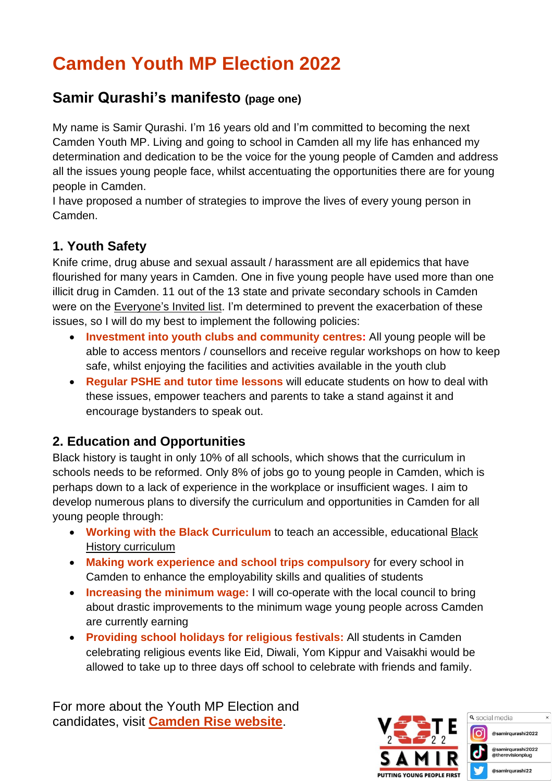# **Camden Youth MP Election 2022**

### **Samir Qurashi's manifesto (page one)**

My name is Samir Qurashi. I'm 16 years old and I'm committed to becoming the next Camden Youth MP. Living and going to school in Camden all my life has enhanced my determination and dedication to be the voice for the young people of Camden and address all the issues young people face, whilst accentuating the opportunities there are for young people in Camden.

I have proposed a number of strategies to improve the lives of every young person in Camden.

#### **1. Youth Safety**

Knife crime, drug abuse and sexual assault / harassment are all epidemics that have flourished for many years in Camden. One in five young people have used more than one illicit drug in Camden. 11 out of the 13 state and private secondary schools in Camden were on the [Everyone's](https://www.everyonesinvited.uk/about) Invited list. I'm determined to prevent the exacerbation of these issues, so I will do my best to implement the following policies:

- **Investment into youth clubs and community centres:** All young people will be able to access mentors / counsellors and receive regular workshops on how to keep safe, whilst enjoying the facilities and activities available in the youth club
- **Regular PSHE and tutor time lessons** will educate students on how to deal with these issues, empower teachers and parents to take a stand against it and encourage bystanders to speak out.

#### **2. Education and Opportunities**

Black history is taught in only 10% of all schools, which shows that the curriculum in schools needs to be reformed. Only 8% of jobs go to young people in Camden, which is perhaps down to a lack of experience in the workplace or insufficient wages. I aim to develop numerous plans to diversify the curriculum and opportunities in Camden for all young people through:

- **Working with the Black Curriculum** to teach an accessible, educational [Black](https://theblackcurriculum.com/) History [curriculum](https://theblackcurriculum.com/)
- **Making work experience and school trips compulsory** for every school in Camden to enhance the employability skills and qualities of students
- **Increasing the minimum wage:** I will co-operate with the local council to bring about drastic improvements to the minimum wage young people across Camden are currently earning
- **Providing school holidays for religious festivals:** All students in Camden celebrating religious events like Eid, Diwali, Yom Kippur and Vaisakhi would be allowed to take up to three days off school to celebrate with friends and family.

For more about the Youth MP Election and candidates, visit **[Camden](https://www.camdenrise.co.uk/youth-mp-and-deputy-youth-mps) Rise website**.